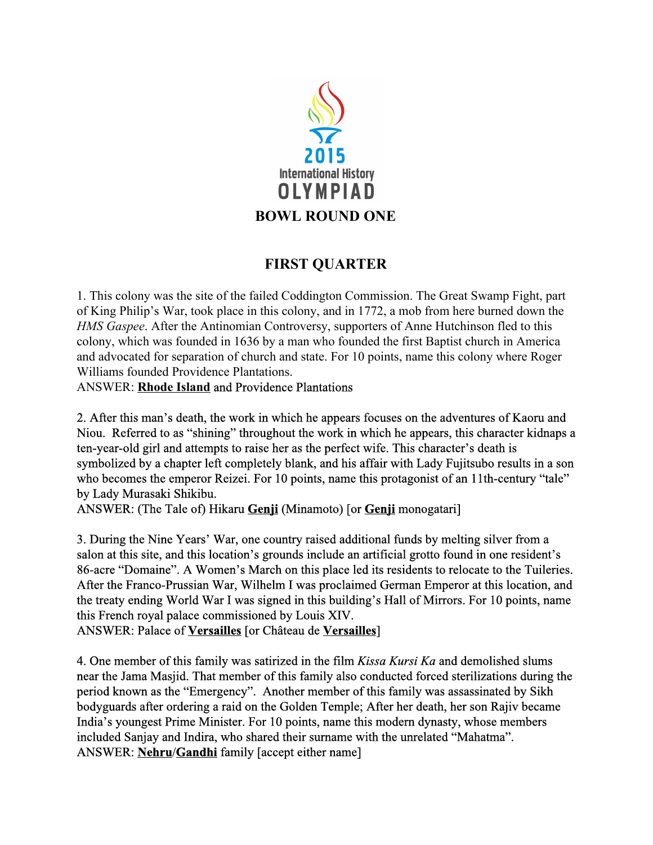

# **FIRST QUARTER**

1. This colony was the site of the failed Coddington Commission. The Great Swamp Fight, part of King Philip's War, took place in this colony, and in 1772, a mob from here burned down the *HMS Gaspee*. After the Antinomian Controversy, supporters of Anne Hutchinson fled to this colony, which was founded in 1636 by a man who founded the first Baptist church in America and advocated for separation of church and state. For 10 points, name this colony where Roger Williams founded Providence Plantations.

ANSWER: **Rhode Island**and Providence Plantations

2. After this man's death, the work in which he appears focuses on the adventures of Kaoru and Niou. Referred to as "shining" throughout the work in which he appears, this character kidnaps a ten-year-old girl and attempts to raise her as the perfect wife. This character's death is symbolized by a chapter left completely blank, and his affair with Lady Fujitsubo results in a son who becomes the emperor Reizei. For 10 points, name this protagonist of an 11th-century "tale" by Lady Murasaki Shikibu.

ANSWER: (The Tale of) Hikaru **Genji**(Minamoto) [or **Genji**monogatari]

3. During the Nine Years' War, one country raised additional funds by melting silver from a salon at this site, and this location's grounds include an artificial grotto found in one resident's 86-acre "Domaine". A Women's March on this place led its residents to relocate to the Tuileries. After the Franco-Prussian War, Wilhelm I was proclaimed German Emperor at this location, and the treaty ending World War I was signed in this building's Hall of Mirrors. For 10 points, name this French royal palace commissioned by Louis XIV.

ANSWER: Palace of **Versailles**[or Château de **Versailles**]

4. One member of this family was satirized in the film *Kissa Kursi Ka* and demolished slums near the Jama Masjid. That member of this family also conducted forced sterilizations during the period known as the "Emergency". Another member of this family was assassinated by Sikh bodyguards after ordering a raid on the Golden Temple; After her death, her son Rajiv became India's youngest Prime Minister. For 10 points, name this modern dynasty, whose members included Sanjay and Indira, who shared their surname with the unrelated "Mahatma". ANSWER: **Nehru**/**Gandhi**family [accept either name]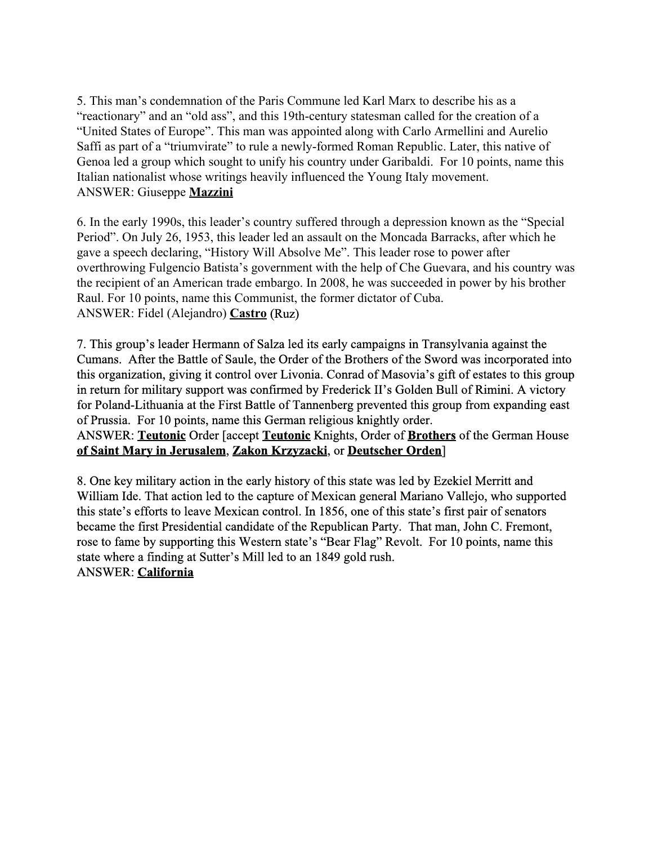5. This man's condemnation of the Paris Commune led Karl Marx to describe his as a "reactionary" and an "old ass", and this 19th-century statesman called for the creation of a "United States of Europe". This man was appointed along with Carlo Armellini and Aurelio Saffi as part of a "triumvirate" to rule a newly-formed Roman Republic. Later, this native of Genoa led a group which sought to unify his country under Garibaldi. For 10 points, name this Italian nationalist whose writings heavily influenced the Young Italy movement. ANSWER: Giuseppe **Mazzini**

6. In the early 1990s, this leader's country suffered through a depression known as the "Special Period". On July 26, 1953, this leader led an assault on the Moncada Barracks, after which he gave a speech declaring, "History Will Absolve Me". This leader rose to power after overthrowing Fulgencio Batista's government with the help of Che Guevara, and his country was the recipient of an American trade embargo. In 2008, he was succeeded in power by his brother Raul. For 10 points, name this Communist, the former dictator of Cuba. ANSWER: Fidel (Alejandro) **Castro**(Ruz)

7. This group's leader Hermann of Salza led its early campaigns in Transylvania against the Cumans. After the Battle of Saule, the Order of the Brothers of the Sword was incorporated into this organization, giving it control over Livonia. Conrad of Masovia's gift of estates to this group in return for military support was confirmed by Frederick II's Golden Bull of Rimini. A victory for Poland-Lithuania at the First Battle of Tannenberg prevented this group from expanding east of Prussia. For 10 points, name this German religious knightly order. ANSWER: **Teutonic**Order [accept **Teutonic**Knights, Order of **Brothers**of the German House **of Saint Mary in Jerusalem**, **Zakon Krzyzacki**, or **Deutscher Orden**]

8. One key military action in the early history of this state was led by Ezekiel Merritt and William Ide. That action led to the capture of Mexican general Mariano Vallejo, who supported this state's efforts to leave Mexican control. In 1856, one of this state's first pair of senators became the first Presidential candidate of the Republican Party. That man, John C. Fremont, rose to fame by supporting this Western state's "Bear Flag" Revolt. For 10 points, name this state where a finding at Sutter's Mill led to an 1849 gold rush. ANSWER: **California**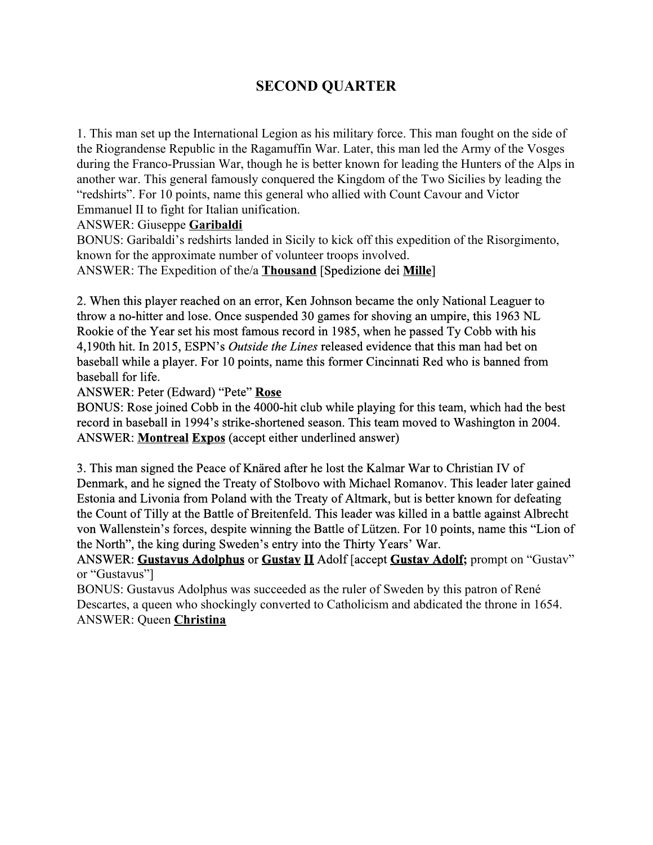# **SECOND QUARTER**

1. This man set up the International Legion as his military force. This man fought on the side of the Riograndense Republic in the Ragamuffin War. Later, this man led the Army of the Vosges during the Franco-Prussian War, though he is better known for leading the Hunters of the Alps in another war. This general famously conquered the Kingdom of the Two Sicilies by leading the "redshirts". For 10 points, name this general who allied with Count Cavour and Victor Emmanuel II to fight for Italian unification.

ANSWER: Giuseppe **Garibaldi**

BONUS: Garibaldi's redshirts landed in Sicily to kick off this expedition of the Risorgimento, known for the approximate number of volunteer troops involved.

ANSWER: The Expedition of the/a **Thousand**[Spedizione dei **Mille**]

2. When this player reached on an error, Ken Johnson became the only National Leaguer to throw a no-hitter and lose. Once suspended 30 games for shoving an umpire, this 1963 NL Rookie of the Year set his most famous record in 1985, when he passed Ty Cobb with his 4,190th hit. In 2015, ESPN's *Outside the Lines* released evidence that this man had bet on baseball while a player. For 10 points, name this former Cincinnati Red who is banned from baseball for life.

ANSWER: Peter (Edward) "Pete" **Rose**

BONUS: Rose joined Cobb in the 4000-hit club while playing for this team, which had the best record in baseball in 1994's strike-shortened season. This team moved to Washington in 2004. ANSWER: **MontrealExpos**(accept either underlined answer)

3. This man signed the Peace of Knäred after he lost the Kalmar War to Christian IV of Denmark, and he signed the Treaty of Stolbovo with Michael Romanov. This leader later gained Estonia and Livonia from Poland with the Treaty of Altmark, but is better known for defeating the Count of Tilly at the Battle of Breitenfeld. This leader was killed in a battle against Albrecht von Wallenstein's forces, despite winning the Battle of Lützen. For 10 points, name this "Lion of the North", the king during Sweden's entry into the Thirty Years' War.

ANSWER: **Gustavus Adolphus**or **GustavII**Adolf [accept **Gustav Adolf;** prompt on "Gustav" or "Gustavus"]

BONUS: Gustavus Adolphus was succeeded as the ruler of Sweden by this patron of René Descartes, a queen who shockingly converted to Catholicism and abdicated the throne in 1654. ANSWER: Queen **Christina**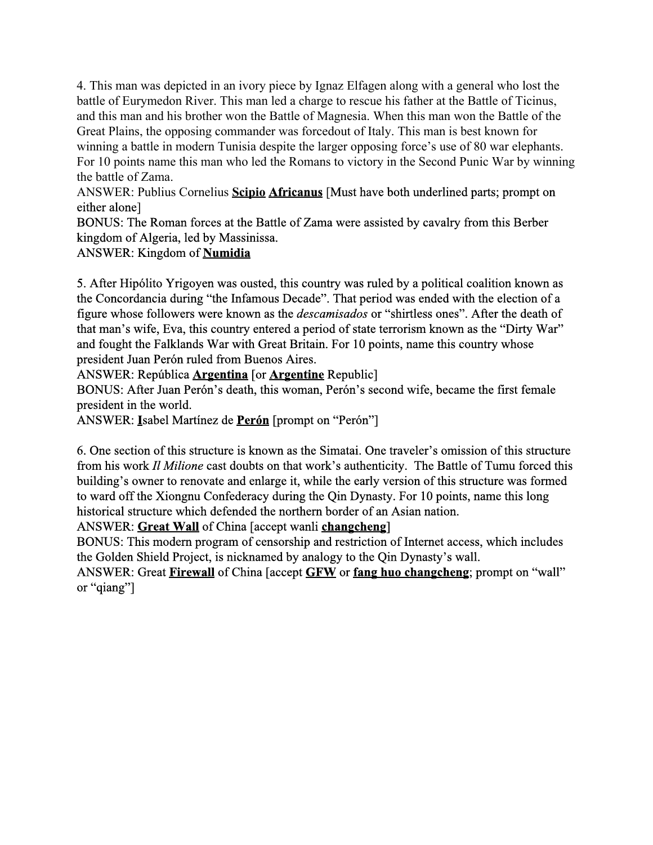4. This man was depicted in an ivory piece by Ignaz Elfagen along with a general who lost the battle of Eurymedon River. This man led a charge to rescue his father at the Battle of Ticinus, and this man and his brother won the Battle of Magnesia. When this man won the Battle of the Great Plains, the opposing commander was forcedout of Italy. This man is best known for winning a battle in modern Tunisia despite the larger opposing force's use of 80 war elephants. For 10 points name this man who led the Romans to victory in the Second Punic War by winning the battle of Zama.

ANSWER: Publius Cornelius **ScipioAfricanus**[Must have both underlined parts; prompt on either alone]

BONUS: The Roman forces at the Battle of Zama were assisted by cavalry from this Berber kingdom of Algeria, led by Massinissa.

### ANSWER: Kingdom of **Numidia**

5. After Hipólito Yrigoyen was ousted, this country was ruled by a political coalition known as the Concordancia during "the Infamous Decade". That period was ended with the election of a figure whose followers were known as the *descamisados* or "shirtless ones". After the death of that man's wife, Eva, this country entered a period of state terrorism known as the "Dirty War" and fought the Falklands War with Great Britain. For 10 points, name this country whose president Juan Perón ruled from Buenos Aires.

#### ANSWER: República **Argentina** [or **Argentine** Republic]

BONUS: After Juan Perón's death, this woman, Perón's second wife, became the first female president in the world.

ANSWER: **I**sabel Martínez de **Perón**[prompt on "Perón"]

6. One section of this structure is known as the Simatai. One traveler's omission of this structure from his work *Il Milione* cast doubts on that work's authenticity. The Battle of Tumu forced this building's owner to renovate and enlarge it, while the early version of this structure was formed to ward off the Xiongnu Confederacy during the Qin Dynasty. For 10 points, name this long historical structure which defended the northern border of an Asian nation.

ANSWER: **Great Wall**of China [accept wanli **changcheng**]

BONUS: This modern program of censorship and restriction of Internet access, which includes the Golden Shield Project, is nicknamed by analogy to the Qin Dynasty's wall.

ANSWER: Great **Firewall**of China [accept **GFW**or **fang huo changcheng**; prompt on "wall" or "qiang"]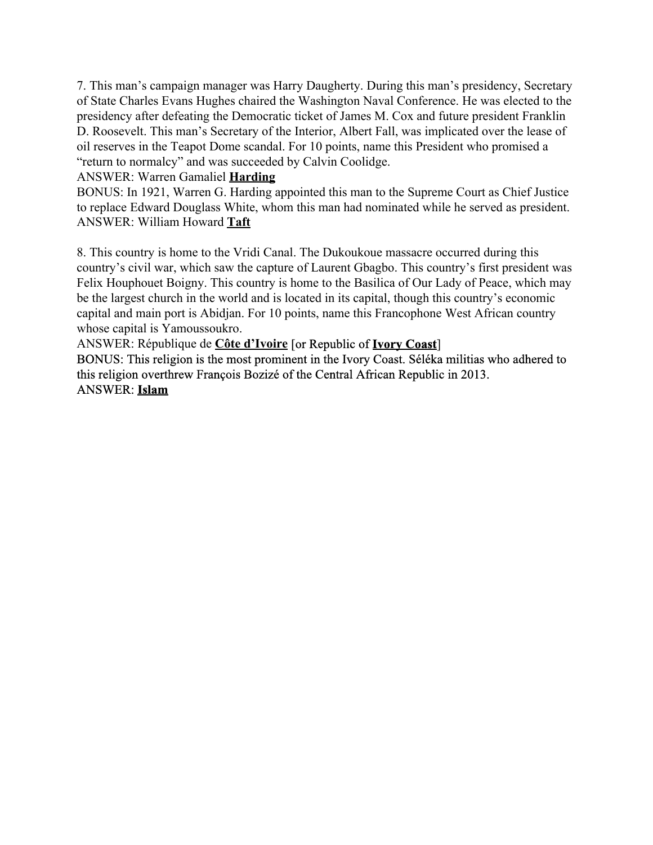7. This man's campaign manager was Harry Daugherty. During this man's presidency, Secretary of State Charles Evans Hughes chaired the Washington Naval Conference. He was elected to the presidency after defeating the Democratic ticket of James M. Cox and future president Franklin D. Roosevelt. This man's Secretary of the Interior, Albert Fall, was implicated over the lease of oil reserves in the Teapot Dome scandal. For 10 points, name this President who promised a "return to normalcy" and was succeeded by Calvin Coolidge.

#### ANSWER: Warren Gamaliel **Harding**

BONUS: In 1921, Warren G. Harding appointed this man to the Supreme Court as Chief Justice to replace Edward Douglass White, whom this man had nominated while he served as president. ANSWER: William Howard **Taft**

8. This country is home to the Vridi Canal. The Dukoukoue massacre occurred during this country's civil war, which saw the capture of Laurent Gbagbo. This country's first president was Felix Houphouet Boigny. This country is home to the Basilica of Our Lady of Peace, which may be the largest church in the world and is located in its capital, though this country's economic capital and main port is Abidjan. For 10 points, name this Francophone West African country whose capital is Yamoussoukro.

ANSWER: République de **Côte d'Ivoire**[or Republic of **Ivory Coast**]

BONUS: This religion is the most prominent in the Ivory Coast. Séléka militias who adhered to this religion overthrew François Bozizé of the Central African Republic in 2013. ANSWER: **Islam**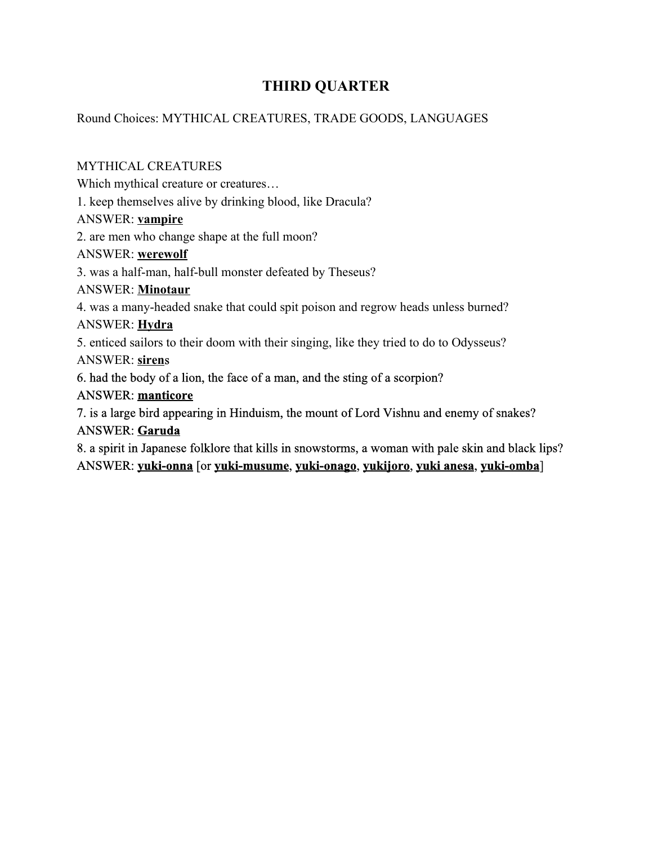## **THIRD QUARTER**

### Round Choices: MYTHICAL CREATURES, TRADE GOODS, LANGUAGES

MYTHICAL CREATURES Which mythical creature or creatures… 1. keep themselves alive by drinking blood, like Dracula? ANSWER: **vampire** 2. are men who change shape at the full moon? ANSWER: **werewolf** 3. was a half-man, half-bull monster defeated by Theseus? ANSWER: **Minotaur** 4. was a many-headed snake that could spit poison and regrow heads unless burned? ANSWER: **Hydra** 5. enticed sailors to their doom with their singing, like they tried to do to Odysseus? ANSWER: **siren**s 6. had the body of a lion, the face of a man, and the sting of a scorpion? ANSWER: **manticore** 7. is a large bird appearing in Hinduism, the mount of Lord Vishnu and enemy of snakes? ANSWER: **Garuda** 8. a spirit in Japanese folklore that kills in snowstorms, a woman with pale skin and black lips?

ANSWER: **yuki-onna** [or **yuki-musume**, **yuki-onago**, **yukijoro**, **yuki anesa**, **yuki-omba**]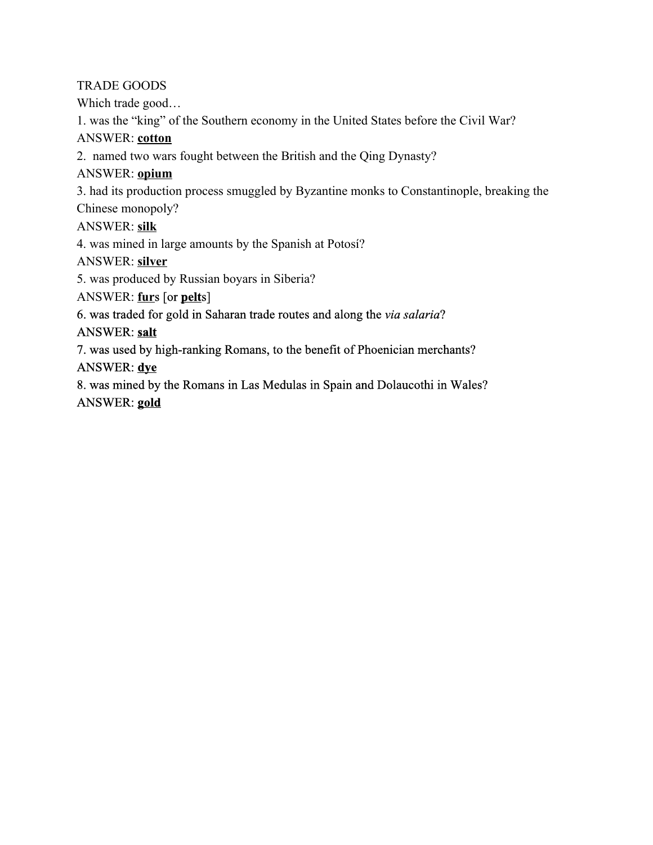TRADE GOODS

Which trade good…

1. was the "king" of the Southern economy in the United States before the Civil War?

ANSWER: **cotton**

2. named two wars fought between the British and the Qing Dynasty?

ANSWER: **opium**

3. had its production process smuggled by Byzantine monks to Constantinople, breaking the

Chinese monopoly?

ANSWER: **silk**

4. was mined in large amounts by the Spanish at Potosí?

ANSWER: **silver**

5. was produced by Russian boyars in Siberia?

ANSWER: **fur**s [or **pelt**s]

6. was traded for gold in Saharan trade routes and along the *via salaria*?

### ANSWER: **salt**

7. was used by high-ranking Romans, to the benefit of Phoenician merchants? ANSWER: **dye**

8. was mined by the Romans in Las Medulas in Spain and Dolaucothi in Wales? ANSWER: **gold**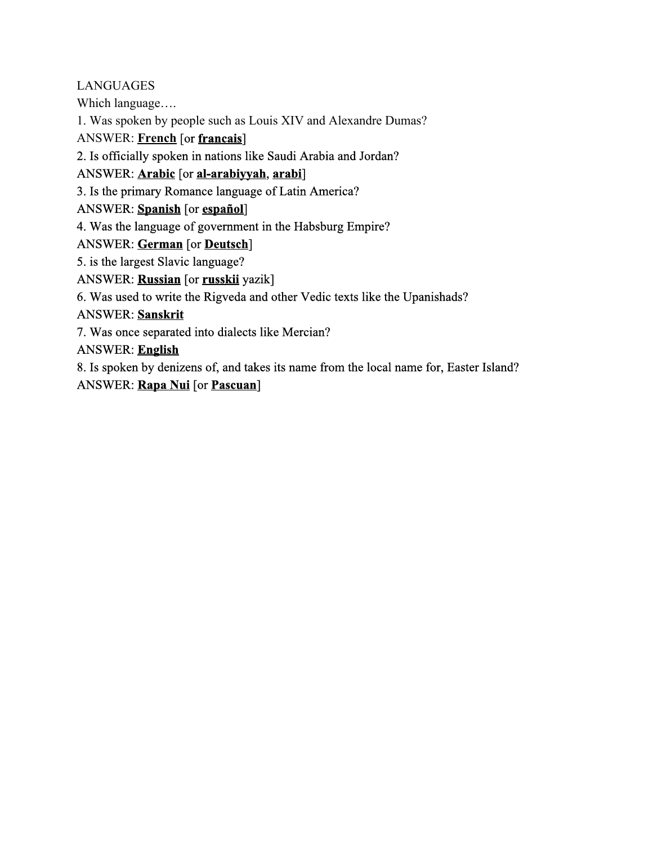### LANGUAGES

Which language….

1. Was spoken by people such as Louis XIV and Alexandre Dumas?

ANSWER: **French**[or **francais**]

2. Is officially spoken in nations like Saudi Arabia and Jordan?

ANSWER: **Arabic**[or **alarabiyyah**, **arabi**]

3. Is the primary Romance language of Latin America?

ANSWER: **Spanish**[or **español**]

4. Was the language of government in the Habsburg Empire?

ANSWER: **German**[or **Deutsch**]

5. is the largest Slavic language?

ANSWER: **Russian**[or **russkii**yazik]

6. Was used to write the Rigveda and other Vedic texts like the Upanishads?

ANSWER: **Sanskrit**

7. Was once separated into dialects like Mercian?

ANSWER: **English**

8. Is spoken by denizens of, and takes its name from the local name for, Easter Island? ANSWER: **Rapa Nui**[or **Pascuan**]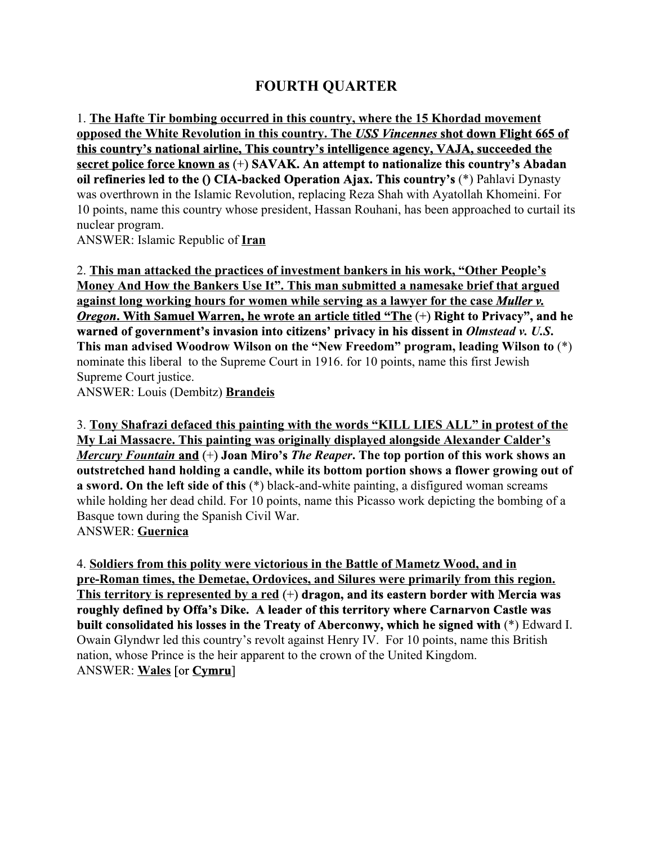## **FOURTH QUARTER**

1. **The Hafte Tir bombing occurred in this country, where the 15 Khordad movement opposed the White Revolution in this country. The** *USS Vincennes***shot down Flight 665 of this country's national airline, This country's intelligence agency, VAJA, succeeded the secret police force known as**(+) **SAVAK. An attempt to nationalize this country's Abadan oil refineries led to the () CIA-backed Operation Ajax. This country's (\*) Pahlavi Dynasty** was overthrown in the Islamic Revolution, replacing Reza Shah with Ayatollah Khomeini. For 10 points, name this country whose president, Hassan Rouhani, has been approached to curtail its nuclear program.

ANSWER: Islamic Republic of **Iran**

2. **This man attacked the practices of investment bankers in his work, "Other People's Money And How the Bankers Use It". This man submitted a namesake brief that argued against long working hours for women while serving as a lawyer for the case** *Muller v. Oregon***. With Samuel Warren, he wrote an article titled "The**(+) **Right to Privacy", and he warned of government's invasion into citizens' privacy in his dissent in** *Olmstead v. U.S***. This man advised Woodrow Wilson on the "New Freedom" program, leading Wilson to**(\*) nominate this liberal to the Supreme Court in 1916. for 10 points, name this first Jewish Supreme Court justice.

ANSWER: Louis (Dembitz) **Brandeis**

3. **Tony Shafrazi defaced this painting with the words "KILL LIES ALL" in protest of the My Lai Massacre. This painting was originally displayed alongside Alexander Calder's** *Mercury Fountain***and**(+) **Joan Miro's** *The Reaper***. The top portion of this work shows an outstretched hand holding a candle, while its bottom portion shows a flower growing out of a** sword. On the left side of this (\*) black-and-white painting, a disfigured woman screams while holding her dead child. For 10 points, name this Picasso work depicting the bombing of a Basque town during the Spanish Civil War. ANSWER: **Guernica**

4. **Soldiers from this polity were victorious in the Battle of Mametz Wood, and in preRoman times, the Demetae, Ordovices, and Silures were primarily from this region. This territory is represented by a red**(+) **dragon, and its eastern border with Mercia was roughly defined by Offa's Dike. A leader of this territory where Carnarvon Castle was built consolidated his losses in the Treaty of Aberconwy, which he signed with** (\*) Edward I. Owain Glyndwr led this country's revolt against Henry IV. For 10 points, name this British nation, whose Prince is the heir apparent to the crown of the United Kingdom. ANSWER: **Wales**[or **Cymru**]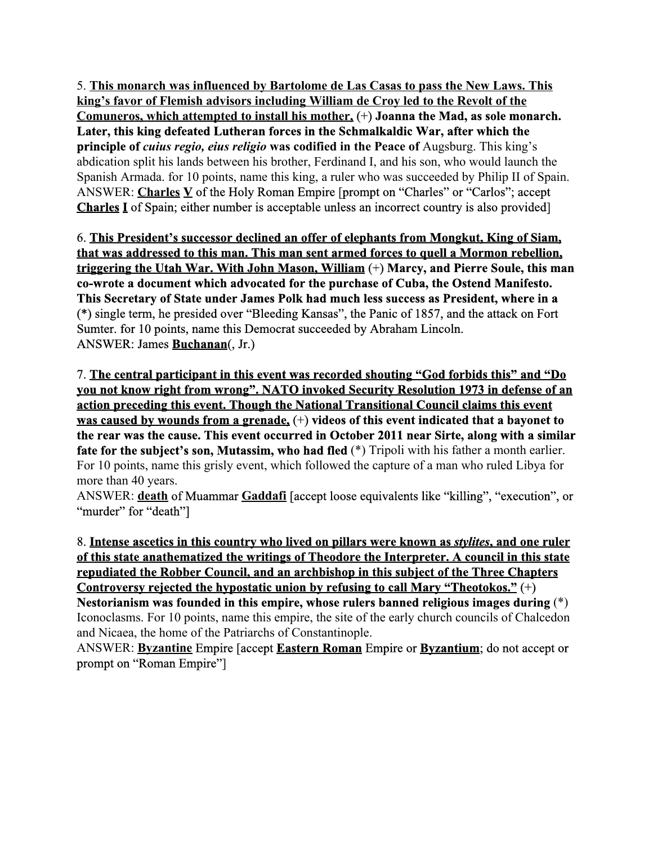5. **This monarch was influenced by Bartolome de Las Casas to pass the New Laws. This king's favor of Flemish advisors including William de Croy led to the Revolt of the Comuneros, which attempted to install his mother,**(+) **Joanna the Mad, as sole monarch. Later, this king defeated Lutheran forces in the Schmalkaldic War, after which the principle of** *cuius regio, eius religio***was codified in the Peace of**Augsburg. This king's abdication split his lands between his brother, Ferdinand I, and his son, who would launch the Spanish Armada. for 10 points, name this king, a ruler who was succeeded by Philip II of Spain. ANSWER: **CharlesV**of the Holy Roman Empire [prompt on "Charles" or "Carlos"; accept **CharlesI**of Spain; either number is acceptable unless an incorrect country is also provided]

6. **This President's successor declined an offer of elephants from Mongkut, King of Siam, that was addressed to this man. This man sent armed forces to quell a Mormon rebellion, triggering the Utah War. With John Mason, William**(+) **Marcy, and Pierre Soule, this man cowrote a document which advocated for the purchase of Cuba, the Ostend Manifesto. This Secretary of State under James Polk had much less success as President, where in a** (\*) single term, he presided over "Bleeding Kansas", the Panic of 1857, and the attack on Fort Sumter. for 10 points, name this Democrat succeeded by Abraham Lincoln. ANSWER: James **Buchanan**(, Jr.)

7. **The central participant in this event was recorded shouting "God forbids this" and "Do you not know right from wrong". NATO invoked Security Resolution 1973 in defense of an action preceding this event. Though the National Transitional Council claims this event was caused by wounds from a grenade,**(+) **videos of this event indicated that a bayonet to the rear was the cause. This event occurred in October 2011 near Sirte, along with a similar fate for the subject's son, Mutassim, who had fled**(\*) Tripoli with his father a month earlier. For 10 points, name this grisly event, which followed the capture of a man who ruled Libya for more than 40 years.

ANSWER: **death**of Muammar **Gaddafi**[accept loose equivalents like "killing", "execution", or "murder" for "death"]

8. **Intense ascetics in this country who lived on pillars were known as** *stylites***, and one ruler of this state anathematized the writings of Theodore the Interpreter. A council in this state repudiated the Robber Council, and an archbishop in this subject of the Three Chapters Controversy rejected the hypostatic union by refusing to call Mary "Theotokos."**(+) **Nestorianism was founded in this empire, whose rulers banned religious images during**(\*) Iconoclasms. For 10 points, name this empire, the site of the early church councils of Chalcedon and Nicaea, the home of the Patriarchs of Constantinople.

ANSWER: **Byzantine**Empire [accept **Eastern Roman**Empire or **Byzantium**; do not accept or prompt on "Roman Empire"]